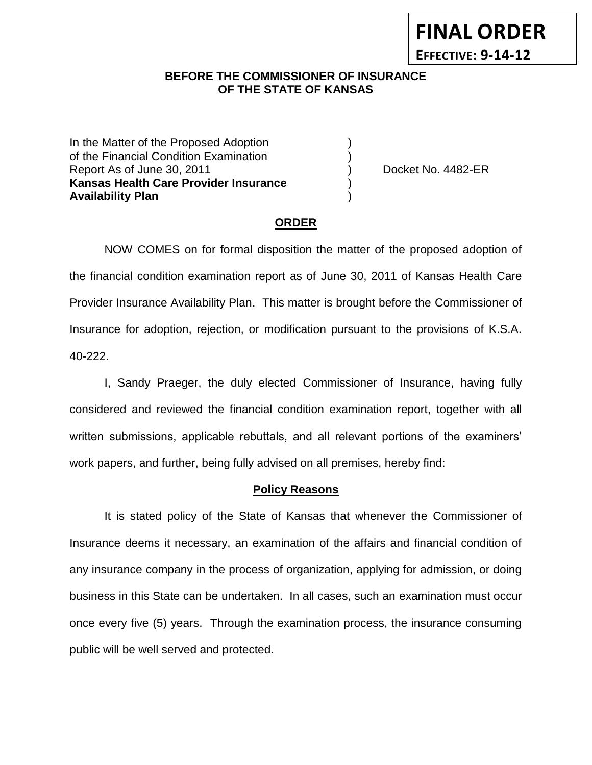# **FINAL ORDER EFFECTIVE: 9-14-12**

## **BEFORE THE COMMISSIONER OF INSURANCE OF THE STATE OF KANSAS**

In the Matter of the Proposed Adoption of the Financial Condition Examination ) Report As of June 30, 2011 (and the control of the Docket No. 4482-ER **Kansas Health Care Provider Insurance** ) **Availability Plan** )

## **ORDER**

NOW COMES on for formal disposition the matter of the proposed adoption of the financial condition examination report as of June 30, 2011 of Kansas Health Care Provider Insurance Availability Plan. This matter is brought before the Commissioner of Insurance for adoption, rejection, or modification pursuant to the provisions of K.S.A. 40-222.

I, Sandy Praeger, the duly elected Commissioner of Insurance, having fully considered and reviewed the financial condition examination report, together with all written submissions, applicable rebuttals, and all relevant portions of the examiners' work papers, and further, being fully advised on all premises, hereby find:

## **Policy Reasons**

It is stated policy of the State of Kansas that whenever the Commissioner of Insurance deems it necessary, an examination of the affairs and financial condition of any insurance company in the process of organization, applying for admission, or doing business in this State can be undertaken. In all cases, such an examination must occur once every five (5) years. Through the examination process, the insurance consuming public will be well served and protected.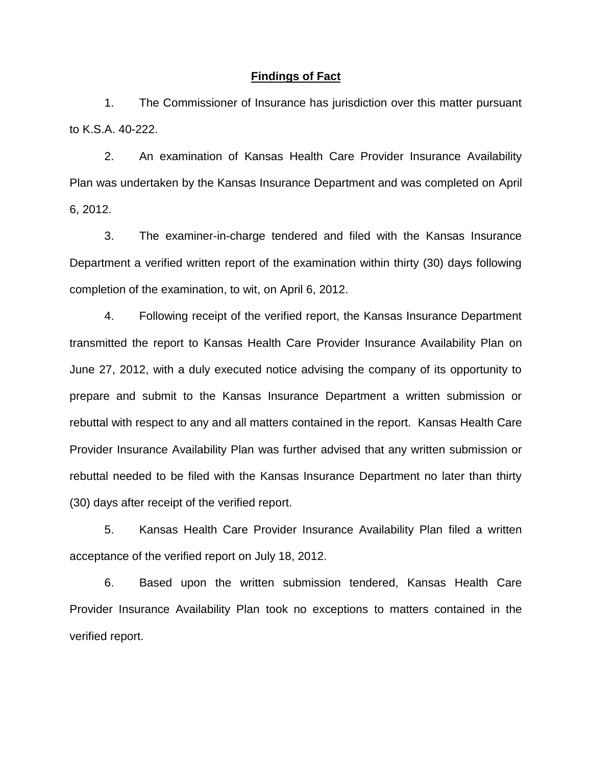#### **Findings of Fact**

1. The Commissioner of Insurance has jurisdiction over this matter pursuant to K.S.A. 40-222.

2. An examination of Kansas Health Care Provider Insurance Availability Plan was undertaken by the Kansas Insurance Department and was completed on April 6, 2012.

3. The examiner-in-charge tendered and filed with the Kansas Insurance Department a verified written report of the examination within thirty (30) days following completion of the examination, to wit, on April 6, 2012.

4. Following receipt of the verified report, the Kansas Insurance Department transmitted the report to Kansas Health Care Provider Insurance Availability Plan on June 27, 2012, with a duly executed notice advising the company of its opportunity to prepare and submit to the Kansas Insurance Department a written submission or rebuttal with respect to any and all matters contained in the report. Kansas Health Care Provider Insurance Availability Plan was further advised that any written submission or rebuttal needed to be filed with the Kansas Insurance Department no later than thirty (30) days after receipt of the verified report.

5. Kansas Health Care Provider Insurance Availability Plan filed a written acceptance of the verified report on July 18, 2012.

6. Based upon the written submission tendered, Kansas Health Care Provider Insurance Availability Plan took no exceptions to matters contained in the verified report.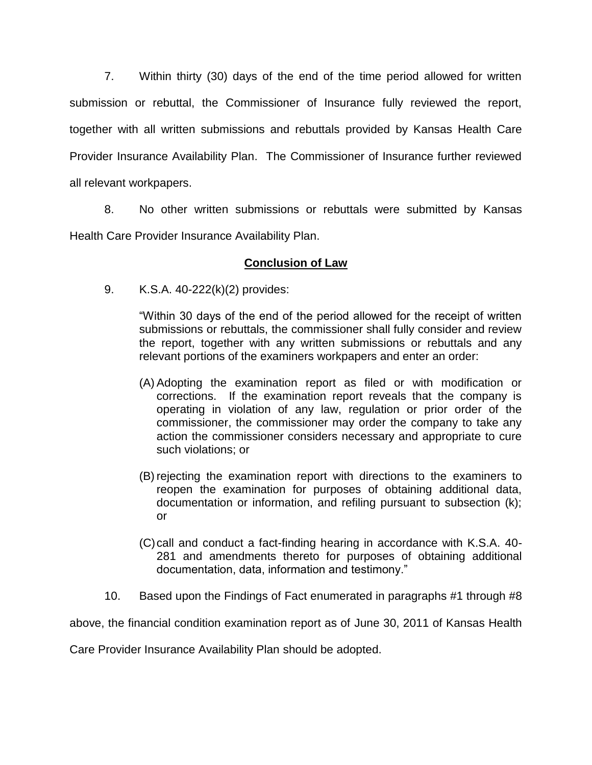7. Within thirty (30) days of the end of the time period allowed for written submission or rebuttal, the Commissioner of Insurance fully reviewed the report, together with all written submissions and rebuttals provided by Kansas Health Care Provider Insurance Availability Plan. The Commissioner of Insurance further reviewed all relevant workpapers.

8. No other written submissions or rebuttals were submitted by Kansas Health Care Provider Insurance Availability Plan.

# **Conclusion of Law**

9. K.S.A. 40-222(k)(2) provides:

"Within 30 days of the end of the period allowed for the receipt of written submissions or rebuttals, the commissioner shall fully consider and review the report, together with any written submissions or rebuttals and any relevant portions of the examiners workpapers and enter an order:

- (A) Adopting the examination report as filed or with modification or corrections. If the examination report reveals that the company is operating in violation of any law, regulation or prior order of the commissioner, the commissioner may order the company to take any action the commissioner considers necessary and appropriate to cure such violations; or
- (B) rejecting the examination report with directions to the examiners to reopen the examination for purposes of obtaining additional data, documentation or information, and refiling pursuant to subsection (k); or
- (C)call and conduct a fact-finding hearing in accordance with K.S.A. 40- 281 and amendments thereto for purposes of obtaining additional documentation, data, information and testimony."
- 10. Based upon the Findings of Fact enumerated in paragraphs #1 through #8

above, the financial condition examination report as of June 30, 2011 of Kansas Health

Care Provider Insurance Availability Plan should be adopted.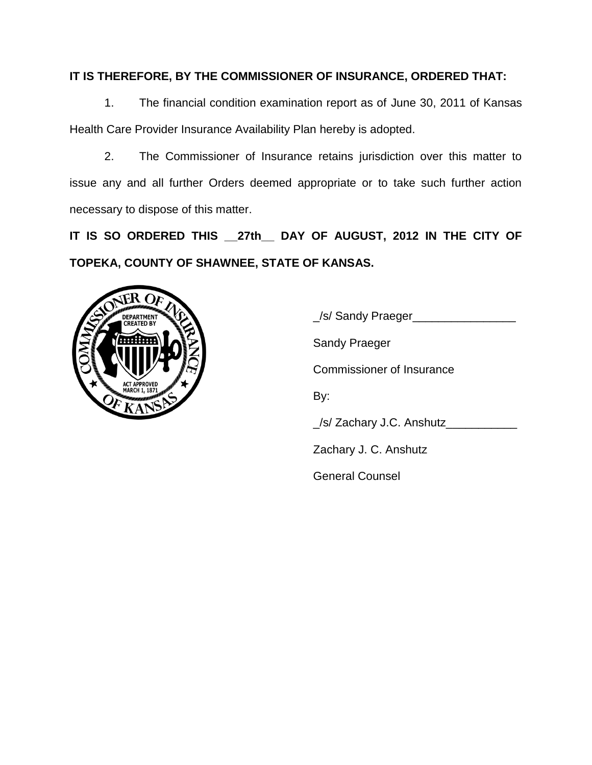# **IT IS THEREFORE, BY THE COMMISSIONER OF INSURANCE, ORDERED THAT:**

1. The financial condition examination report as of June 30, 2011 of Kansas Health Care Provider Insurance Availability Plan hereby is adopted.

2. The Commissioner of Insurance retains jurisdiction over this matter to issue any and all further Orders deemed appropriate or to take such further action necessary to dispose of this matter.

**IT IS SO ORDERED THIS \_\_27th\_\_ DAY OF AUGUST, 2012 IN THE CITY OF TOPEKA, COUNTY OF SHAWNEE, STATE OF KANSAS.**



\_/s/ Sandy Praeger\_\_\_\_\_\_\_\_\_\_\_\_\_\_\_\_ Sandy Praeger Commissioner of Insurance By: \_/s/ Zachary J.C. Anshutz\_\_\_\_\_\_\_\_\_\_\_ Zachary J. C. Anshutz General Counsel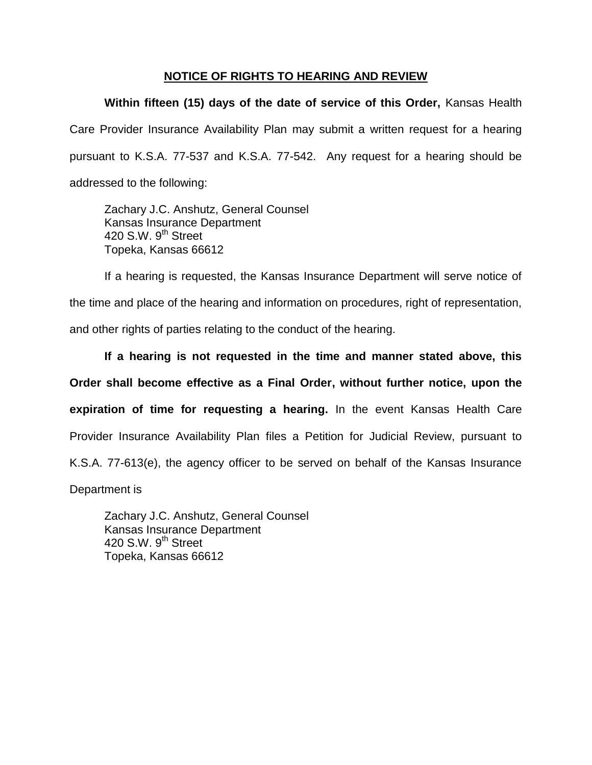## **NOTICE OF RIGHTS TO HEARING AND REVIEW**

**Within fifteen (15) days of the date of service of this Order,** Kansas Health Care Provider Insurance Availability Plan may submit a written request for a hearing pursuant to K.S.A. 77-537 and K.S.A. 77-542. Any request for a hearing should be addressed to the following:

Zachary J.C. Anshutz, General Counsel Kansas Insurance Department 420 S.W. 9<sup>th</sup> Street Topeka, Kansas 66612

If a hearing is requested, the Kansas Insurance Department will serve notice of the time and place of the hearing and information on procedures, right of representation, and other rights of parties relating to the conduct of the hearing.

**If a hearing is not requested in the time and manner stated above, this Order shall become effective as a Final Order, without further notice, upon the expiration of time for requesting a hearing.** In the event Kansas Health Care Provider Insurance Availability Plan files a Petition for Judicial Review, pursuant to K.S.A. 77-613(e), the agency officer to be served on behalf of the Kansas Insurance

Department is

Zachary J.C. Anshutz, General Counsel Kansas Insurance Department 420 S.W.  $9^{th}$  Street Topeka, Kansas 66612